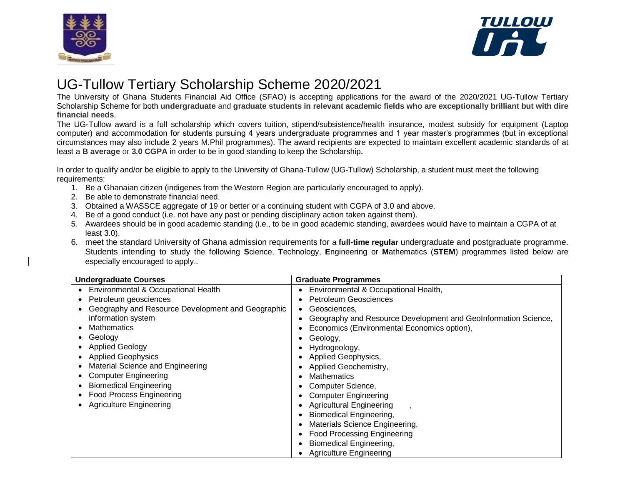



## UG-Tullow Tertiary Scholarship Scheme 2020/2021

The University of Ghana Students Financial Aid Office (SFAO) is accepting applications for the award of the 2020/2021 UG-Tullow Tertiary Scholarship Scheme for both undergraduate and graduate students in relevant academic fields who are exceptionally brilliant but with dire **financial needs**.

The UG-Tullow award is a full scholarship which covers tuition, stipend/subsistence/health insurance, modest subsidy for equipment (Laptop computer) and accommodation for students pursuing 4 years undergraduate programmes and 1 year master's programmes (but in exceptional circumstances may also include 2 years M.Phil programmes). The award recipients are expected to maintain excellent academic standards of at least a **B average** or **3.0 CGPA** in order to be in good standing to keep the Scholarship**.**

In order to qualify and/or be eligible to apply to the University of Ghana-Tullow (UG-Tullow) Scholarship, a student must meet the following requirements:

- 1. Be a Ghanaian citizen (indigenes from the Western Region are particularly encouraged to apply).
- 2. Be able to demonstrate financial need.
- 3. Obtained a WASSCE aggregate of 19 or better or a continuing student with CGPA of 3.0 and above.
- 4. Be of a good conduct (i.e. not have any past or pending disciplinary action taken against them).
- 5. Awardees should be in good academic standing (i.e., to be in good academic standing, awardees would have to maintain a CGPA of at least 3.0).
- 6. meet the standard University of Ghana admission requirements for a **full-time regular** undergraduate and postgraduate programme. Students intending to study the following **S**cience, **T**echnology, **E**ngineering or **M**athematics (**STEM**) programmes listed below are especially encouraged to apply..

| <b>Undergraduate Courses</b> |                                                   | <b>Graduate Programmes</b> |                                                                |
|------------------------------|---------------------------------------------------|----------------------------|----------------------------------------------------------------|
| $\bullet$                    | Environmental & Occupational Health               |                            | Environmental & Occupational Health,                           |
| ٠                            | Petroleum geosciences                             |                            | <b>Petroleum Geosciences</b>                                   |
|                              | Geography and Resource Development and Geographic |                            | Geosciences,                                                   |
|                              | information system                                |                            | Geography and Resource Development and GeoInformation Science, |
|                              | <b>Mathematics</b>                                |                            | Economics (Environmental Economics option),                    |
| ٠                            | Geology                                           |                            | Geology,                                                       |
| ٠                            | <b>Applied Geology</b>                            |                            | Hydrogeology,                                                  |
| $\bullet$                    | <b>Applied Geophysics</b>                         |                            | Applied Geophysics,                                            |
|                              | Material Science and Engineering                  |                            | Applied Geochemistry,                                          |
|                              | <b>Computer Engineering</b>                       |                            | <b>Mathematics</b>                                             |
|                              | <b>Biomedical Engineering</b>                     |                            | Computer Science,                                              |
|                              | <b>Food Process Engineering</b>                   |                            | <b>Computer Engineering</b>                                    |
| $\bullet$                    | <b>Agriculture Engineering</b>                    |                            | <b>Agricultural Engineering</b>                                |
|                              |                                                   |                            | <b>Biomedical Engineering,</b>                                 |
|                              |                                                   |                            | Materials Science Engineering,                                 |
|                              |                                                   |                            | <b>Food Processing Engineering</b>                             |
|                              |                                                   |                            | <b>Biomedical Engineering,</b>                                 |
|                              |                                                   |                            | <b>Agriculture Engineering</b>                                 |